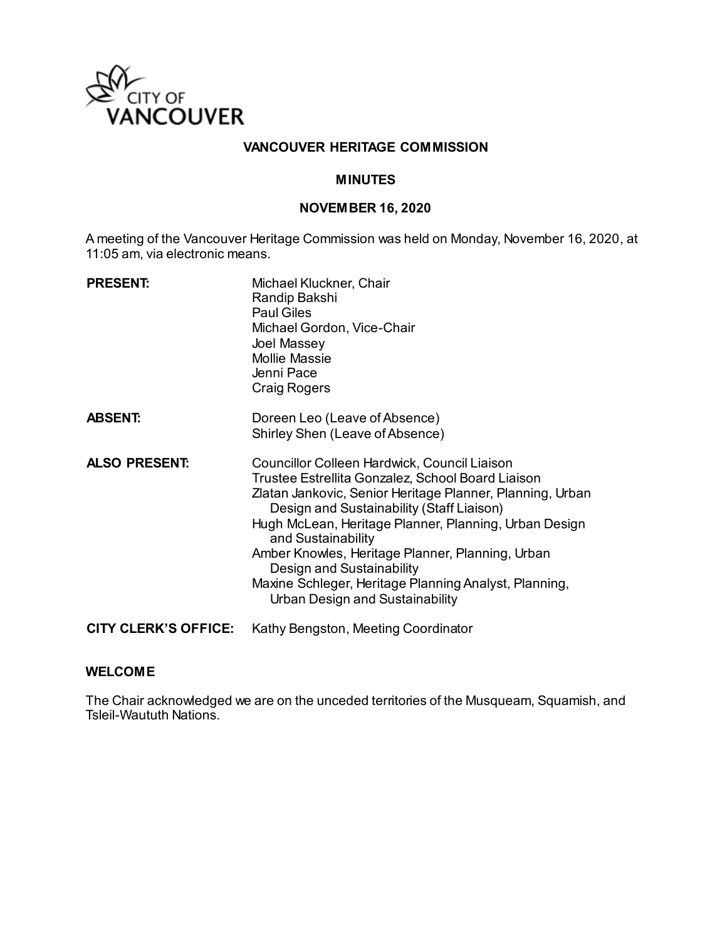

## **VANCOUVER HERITAGE COMMISSION**

## **MINUTES**

#### **NOVEMBER 16, 2020**

A meeting of the Vancouver Heritage Commission was held on Monday, November 16, 2020, at 11:05 am, via electronic means.

| <b>PRESENT:</b>             | Michael Kluckner, Chair<br>Randip Bakshi<br><b>Paul Giles</b><br>Michael Gordon, Vice-Chair<br>Joel Massey<br><b>Mollie Massie</b><br>Jenni Pace<br><b>Craig Rogers</b>                                                                                                                                                                                                                                                                                                 |
|-----------------------------|-------------------------------------------------------------------------------------------------------------------------------------------------------------------------------------------------------------------------------------------------------------------------------------------------------------------------------------------------------------------------------------------------------------------------------------------------------------------------|
| <b>ABSENT:</b>              | Doreen Leo (Leave of Absence)<br>Shirley Shen (Leave of Absence)                                                                                                                                                                                                                                                                                                                                                                                                        |
| <b>ALSO PRESENT:</b>        | Councillor Colleen Hardwick, Council Liaison<br>Trustee Estrellita Gonzalez, School Board Liaison<br>Zlatan Jankovic, Senior Heritage Planner, Planning, Urban<br>Design and Sustainability (Staff Liaison)<br>Hugh McLean, Heritage Planner, Planning, Urban Design<br>and Sustainability<br>Amber Knowles, Heritage Planner, Planning, Urban<br>Design and Sustainability<br>Maxine Schleger, Heritage Planning Analyst, Planning,<br>Urban Design and Sustainability |
| <b>CITY CLERK'S OFFICE:</b> | Kathy Bengston, Meeting Coordinator                                                                                                                                                                                                                                                                                                                                                                                                                                     |

#### **WELCOME**

The Chair acknowledged we are on the unceded territories of the Musqueam, Squamish, and Tsleil-Waututh Nations.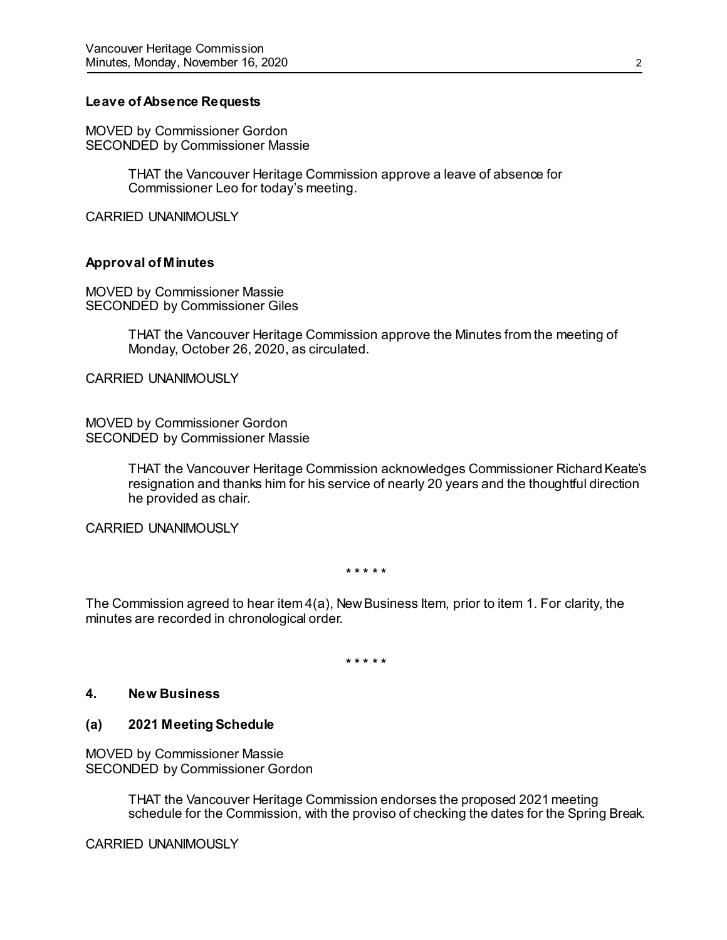## **Leave of Absence Requests**

MOVED by Commissioner Gordon SECONDED by Commissioner Massie

> THAT the Vancouver Heritage Commission approve a leave of absence for Commissioner Leo for today's meeting.

CARRIED UNANIMOUSLY

#### **Approval of Minutes**

MOVED by Commissioner Massie SECONDED by Commissioner Giles

> THAT the Vancouver Heritage Commission approve the Minutes from the meeting of Monday, October 26, 2020, as circulated.

CARRIED UNANIMOUSLY

MOVED by Commissioner Gordon SECONDED by Commissioner Massie

> THAT the Vancouver Heritage Commission acknowledges Commissioner Richard Keate's resignation and thanks him for his service of nearly 20 years and the thoughtful direction he provided as chair.

CARRIED UNANIMOUSLY

**\* \* \* \* \***

The Commission agreed to hear item 4(a), New Business Item, prior to item 1. For clarity, the minutes are recorded in chronological order.

**\* \* \* \* \***

#### **4. New Business**

#### **(a) 2021 Meeting Schedule**

MOVED by Commissioner Massie SECONDED by Commissioner Gordon

> THAT the Vancouver Heritage Commission endorses the proposed 2021 meeting schedule for the Commission, with the proviso of checking the dates for the Spring Break.

CARRIED UNANIMOUSLY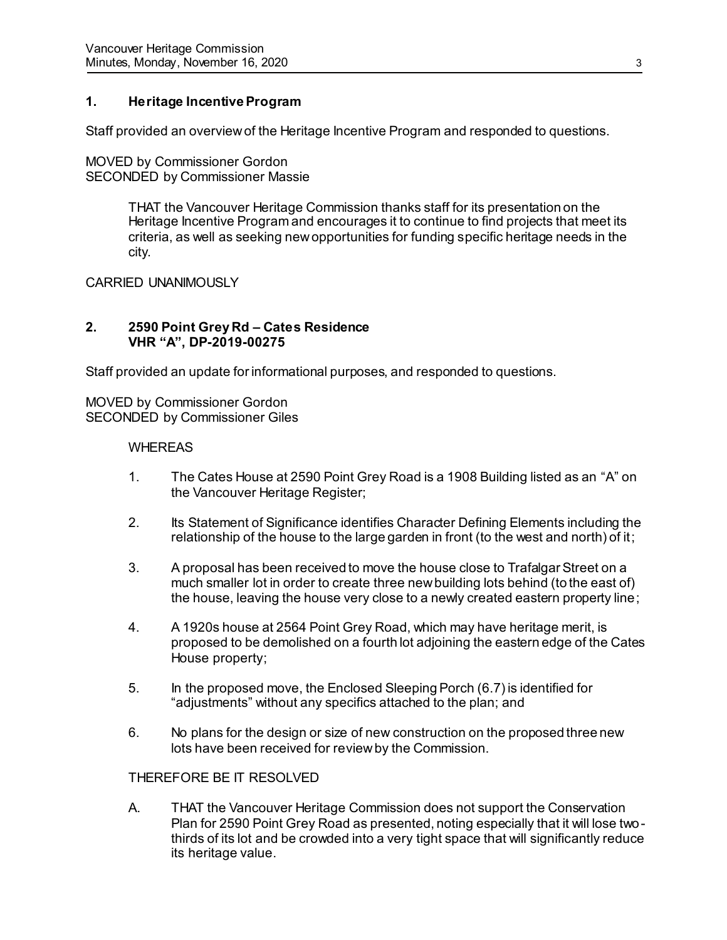# **1. Heritage Incentive Program**

Staff provided an overview of the Heritage Incentive Program and responded to questions.

MOVED by Commissioner Gordon SECONDED by Commissioner Massie

> THAT the Vancouver Heritage Commission thanks staff for its presentation on the Heritage Incentive Program and encourages it to continue to find projects that meet its criteria, as well as seeking new opportunities for funding specific heritage needs in the city.

CARRIED UNANIMOUSLY

# **2. 2590 Point Grey Rd – Cates Residence VHR "A", DP-2019-00275**

Staff provided an update for informational purposes, and responded to questions.

MOVED by Commissioner Gordon SECONDED by Commissioner Giles

## WHEREAS

- 1. The Cates House at 2590 Point Grey Road is a 1908 Building listed as an "A" on the Vancouver Heritage Register;
- 2. Its Statement of Significance identifies Character Defining Elements including the relationship of the house to the large garden in front (to the west and north) of it;
- 3. A proposal has been received to move the house close to Trafalgar Street on a much smaller lot in order to create three new building lots behind (to the east of) the house, leaving the house very close to a newly created eastern property line;
- 4. A 1920s house at 2564 Point Grey Road, which may have heritage merit, is proposed to be demolished on a fourth lot adjoining the eastern edge of the Cates House property;
- 5. In the proposed move, the Enclosed Sleeping Porch (6.7) is identified for "adjustments" without any specifics attached to the plan; and
- 6. No plans for the design or size of new construction on the proposed three new lots have been received for review by the Commission.

# THEREFORE BE IT RESOLVED

A. THAT the Vancouver Heritage Commission does not support the Conservation Plan for 2590 Point Grey Road as presented, noting especially that it will lose twothirds of its lot and be crowded into a very tight space that will significantly reduce its heritage value.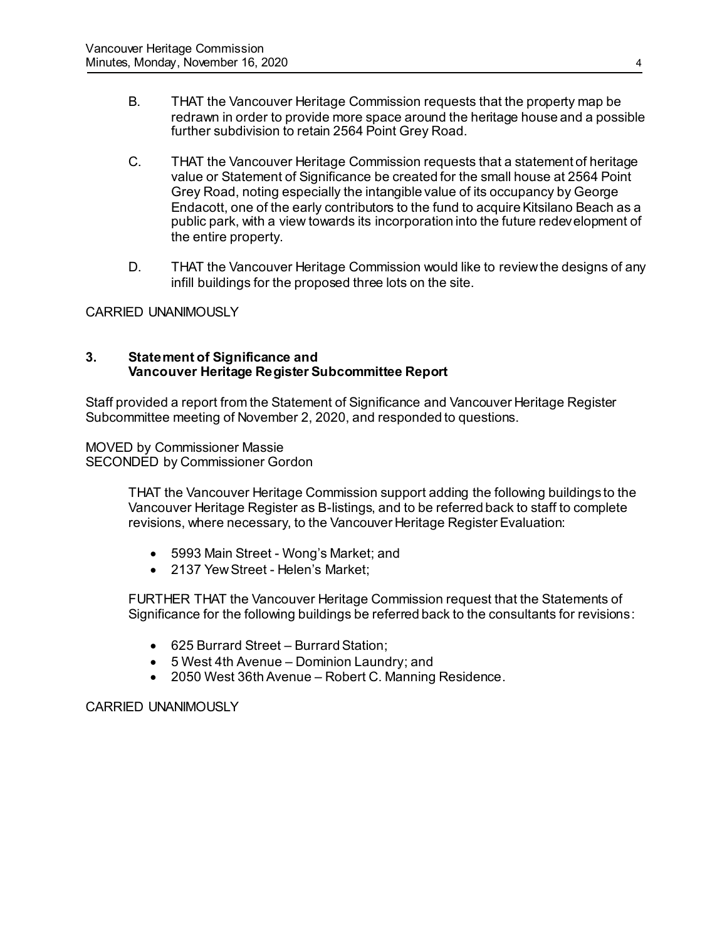- B. THAT the Vancouver Heritage Commission requests that the property map be redrawn in order to provide more space around the heritage house and a possible further subdivision to retain 2564 Point Grey Road.
- C. THAT the Vancouver Heritage Commission requests that a statement of heritage value or Statement of Significance be created for the small house at 2564 Point Grey Road, noting especially the intangible value of its occupancy by George Endacott, one of the early contributors to the fund to acquire Kitsilano Beach as a public park, with a view towards its incorporation into the future redevelopment of the entire property.
- D. THAT the Vancouver Heritage Commission would like to review the designs of any infill buildings for the proposed three lots on the site.

CARRIED UNANIMOUSLY

## **3. Statement of Significance and Vancouver Heritage Register Subcommittee Report**

Staff provided a report from the Statement of Significance and Vancouver Heritage Register Subcommittee meeting of November 2, 2020, and responded to questions.

MOVED by Commissioner Massie SECONDED by Commissioner Gordon

> THAT the Vancouver Heritage Commission support adding the following buildings to the Vancouver Heritage Register as B-listings, and to be referred back to staff to complete revisions, where necessary, to the Vancouver Heritage Register Evaluation:

- 5993 Main Street Wong's Market; and
- 2137 Yew Street Helen's Market:

FURTHER THAT the Vancouver Heritage Commission request that the Statements of Significance for the following buildings be referred back to the consultants for revisions:

- 625 Burrard Street Burrard Station;
- 5 West 4th Avenue Dominion Laundry; and
- 2050 West 36th Avenue Robert C. Manning Residence.

CARRIED UNANIMOUSLY